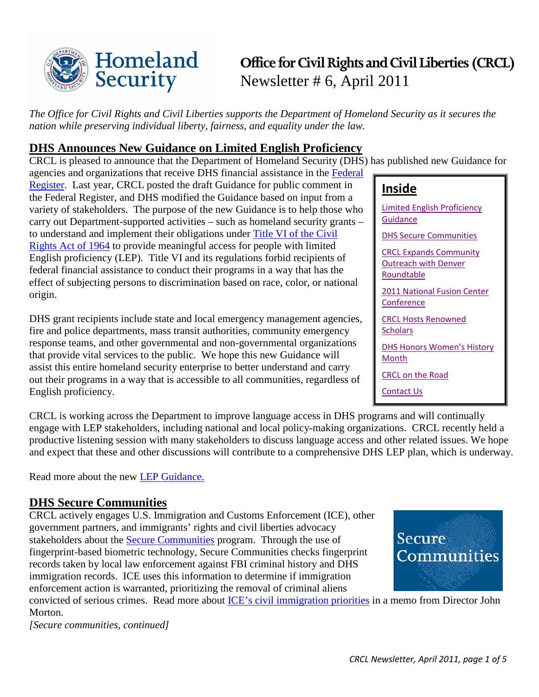

# **Office for Civil Rights and Civil Liberties (CRCL)** Newsletter # 6, April 2011

*The Office for Civil Rights and Civil Liberties supports the Department of Homeland Security as it secures the nation while preserving individual liberty, fairness, and equality under the law.*

### <span id="page-0-0"></span>**DHS Announces New Guidance on Limited English Proficiency**

CRCL is pleased to announce that the Department of Homeland Security (DHS) has published new Guidance for agencies and organizations that receive DHS financial assistance in the [Federal](http://www.gpo.gov/fdsys/pkg/FR-2011-04-18/pdf/2011-9336.pdf) 

[Register.](http://www.gpo.gov/fdsys/pkg/FR-2011-04-18/pdf/2011-9336.pdf) Last year, CRCL posted the draft Guidance for public comment in the Federal Register, and DHS modified the Guidance based on input from a variety of stakeholders. The purpose of the new Guidance is to help those who carry out Department-supported activities – such as homeland security grants – to understand and implement their obligations under [Title VI of the Civil](http://www.archives.gov/eeo/laws/title-vi.html)  [Rights Act of 1964](http://www.archives.gov/eeo/laws/title-vi.html) to provide meaningful access for people with limited English proficiency (LEP). Title VI and its regulations forbid recipients of federal financial assistance to conduct their programs in a way that has the effect of subjecting persons to discrimination based on race, color, or national origin.

DHS grant recipients include state and local emergency management agencies, fire and police departments, mass transit authorities, community emergency response teams, and other governmental and non-governmental organizations that provide vital services to the public. We hope this new Guidance will assist this entire homeland security enterprise to better understand and carry out their programs in a way that is accessible to all communities, regardless of English proficiency.

CRCL is working across the Department to improve language access in DHS programs and will continually engage with LEP stakeholders, including national and local policy-making organizations. CRCL recently held a productive listening session with many stakeholders to discuss language access and other related issues. We hope and expect that these and other discussions will contribute to a comprehensive DHS LEP plan, which is underway.

Read more about the new [LEP Guidance.](http://www.dhs.gov/xabout/laws/gc_1277301604814.shtm)

### <span id="page-0-1"></span>**DHS Secure Communities**

CRCL actively engages U.S. Immigration and Customs Enforcement (ICE), other government partners, and immigrants' rights and civil liberties advocacy stakeholders about the **Secure Communities** program. Through the use of fingerprint-based biometric technology, Secure Communities checks fingerprint records taken by local law enforcement against FBI criminal history and DHS immigration records. ICE uses this information to determine if immigration enforcement action is warranted, prioritizing the removal of criminal aliens

convicted of serious crimes. Read more about [ICE's civil immigration priorities](http://www.ice.gov/doclib/news/releases/2011/110302washingtondc.pdf) in a memo from Director John Morton.

*[Secure communities, continued]*

### **Inside**

[Limited English Proficiency](#page-0-0)  **[Guidance](#page-0-0)** 

[DHS Secure Communities](#page-0-1)

[CRCL Expands Community](#page-1-0)  [Outreach with Denver](#page-1-0)  [Roundtable](#page-1-0)

[2011 National Fusion Center](#page-1-1)  **[Conference](#page-1-1)** 

[CRCL Hosts Renowned](#page-2-0)  **[Scholars](#page-2-0)** 

[DHS Honors Women's History](#page-2-1)  **[Month](#page-2-1)** 

CRCL on the Road

Contact Us

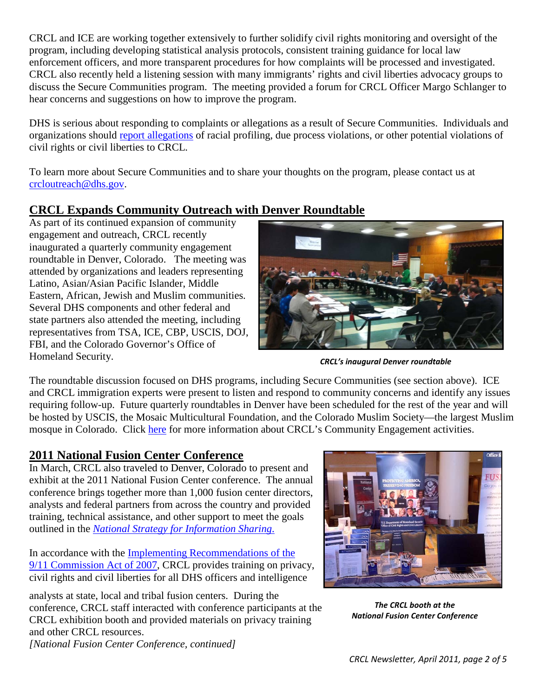CRCL and ICE are working together extensively to further solidify civil rights monitoring and oversight of the program, including developing statistical analysis protocols, consistent training guidance for local law enforcement officers, and more transparent procedures for how complaints will be processed and investigated. CRCL also recently held a listening session with many immigrants' rights and civil liberties advocacy groups to discuss the Secure Communities program. The meeting provided a forum for CRCL Officer Margo Schlanger to hear concerns and suggestions on how to improve the program.

DHS is serious about responding to complaints or allegations as a result of Secure Communities. Individuals and organizations should [report allegations](http://www.dhs.gov/xabout/structure/gc_1273526572731.shtm) of racial profiling, due process violations, or other potential violations of civil rights or civil liberties to CRCL.

To learn more about Secure Communities and to share your thoughts on the program, please contact us at [crcloutreach@dhs.gov.](mailto:crcloutreach@dhs.gov)

# <span id="page-1-0"></span>**CRCL Expands Community Outreach with Denver Roundtable**

As part of its continued expansion of community engagement and outreach, CRCL recently inaugurated a quarterly community engagement roundtable in Denver, Colorado. The meeting was attended by organizations and leaders representing Latino, Asian/Asian Pacific Islander, Middle Eastern, African, Jewish and Muslim communities. Several DHS components and other federal and state partners also attended the meeting, including representatives from TSA, ICE, CBP, USCIS, DOJ, FBI, and the Colorado Governor's Office of Homeland Security.



*CRCL's inaugural Denver roundtable*

The roundtable discussion focused on DHS programs, including Secure Communities (see section above). ICE and CRCL immigration experts were present to listen and respond to community concerns and identify any issues requiring follow-up. Future quarterly roundtables in Denver have been scheduled for the rest of the year and will be hosted by USCIS, the Mosaic Multicultural Foundation, and the Colorado Muslim Society—the largest Muslim mosque in Colorado. Click [here](http://testdhsgov.edgesuite.net/xabout/structure/gc_1273873058706.shtm) for more information about CRCL's Community Engagement activities.

### <span id="page-1-1"></span>**2011 National Fusion Center Conference**

In March, CRCL also traveled to Denver, Colorado to present and exhibit at the 2011 National Fusion Center conference. The annual conference brings together more than 1,000 fusion center directors, analysts and federal partners from across the country and provided training, technical assistance, and other support to meet the goals outlined in the *[National Strategy for Information Sharing](http://www.dhs.gov/xlibrary/assets/dhs_information_sharing_strategy.pdf)*.

In accordance with the [Implementing Recommendations of the](http://intelligence.senate.gov/laws/pl11053.pdf)  [9/11 Commission Act of 2007,](http://intelligence.senate.gov/laws/pl11053.pdf) CRCL provides training on privacy, civil rights and civil liberties for all DHS officers and intelligence

analysts at state, local and tribal fusion centers. During the conference, CRCL staff interacted with conference participants at the CRCL exhibition booth and provided materials on privacy training and other CRCL resources. *[National Fusion Center Conference, continued]*



*The CRCL booth at the National Fusion Center Conference*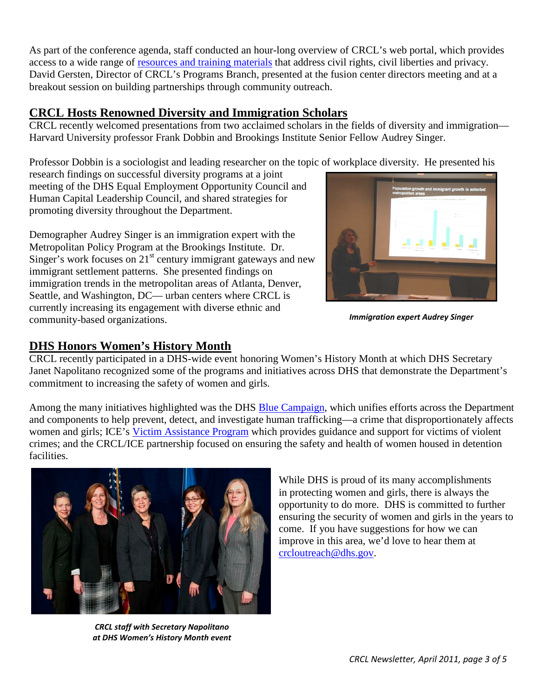As part of the conference agenda, staff conducted an hour-long overview of CRCL's web portal, which provides access to a wide range of [resources and training materials](http://www.it.ojp.gov/PrivacyLiberty) that address civil rights, civil liberties and privacy. David Gersten, Director of CRCL's Programs Branch, presented at the fusion center directors meeting and at a breakout session on building partnerships through community outreach.

### <span id="page-2-0"></span>**CRCL Hosts Renowned Diversity and Immigration Scholars**

CRCL recently welcomed presentations from two acclaimed scholars in the fields of diversity and immigration— Harvard University professor Frank Dobbin and Brookings Institute Senior Fellow Audrey Singer.

Professor Dobbin is a sociologist and leading researcher on the topic of workplace diversity. He presented his

research findings on successful diversity programs at a joint meeting of the DHS Equal Employment Opportunity Council and Human Capital Leadership Council, and shared strategies for promoting diversity throughout the Department.

Demographer Audrey Singer is an immigration expert with the Metropolitan Policy Program at the Brookings Institute. Dr. Singer's work focuses on  $21<sup>st</sup>$  century immigrant gateways and new immigrant settlement patterns. She presented findings on immigration trends in the metropolitan areas of Atlanta, Denver, Seattle, and Washington, DC— urban centers where CRCL is currently increasing its engagement with diverse ethnic and community-based organizations.



*Immigration expert Audrey Singer*

## <span id="page-2-1"></span>**DHS Honors Women's History Month**

CRCL recently participated in a DHS-wide event honoring Women's History Month at which DHS Secretary Janet Napolitano recognized some of the programs and initiatives across DHS that demonstrate the Department's commitment to increasing the safety of women and girls.

Among the many initiatives highlighted was the DHS [Blue Campaign,](http://www.dhs.gov/files/programs/gc_1270739792024.shtm) which unifies efforts across the Department and components to help prevent, detect, and investigate human trafficking—a crime that disproportionately affects women and girls; ICE's [Victim Assistance Program](http://www.ice.gov/human-trafficking/) which provides guidance and support for victims of violent crimes; and the CRCL/ICE partnership focused on ensuring the safety and health of women housed in detention facilities.



*CRCL staff with Secretary Napolitano at DHS Women's History Month event*

While DHS is proud of its many accomplishments in protecting women and girls, there is always the opportunity to do more. DHS is committed to further ensuring the security of women and girls in the years to come. If you have suggestions for how we can improve in this area, we'd love to hear them at [crcloutreach@dhs.gov.](mailto:crcloutreach@dhs.gov)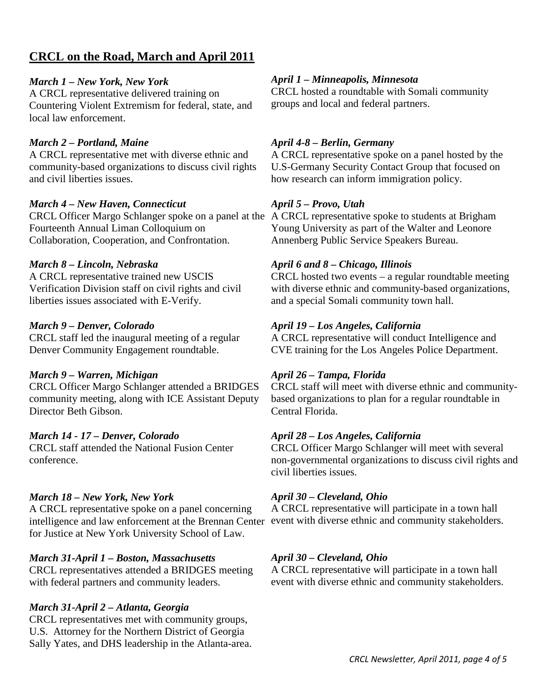### **CRCL on the Road, March and April 2011**

#### *March 1 – New York, New York*

A CRCL representative delivered training on Countering Violent Extremism for federal, state, and local law enforcement.

#### *March 2 – Portland, Maine*

A CRCL representative met with diverse ethnic and community-based organizations to discuss civil rights and civil liberties issues.

#### *March 4 – New Haven, Connecticut*

CRCL Officer Margo Schlanger spoke on a panel at the A CRCL representative spoke to students at Brigham Fourteenth Annual Liman Colloquium on Collaboration, Cooperation, and Confrontation.

#### *March 8 – Lincoln, Nebraska*

A CRCL representative trained new USCIS Verification Division staff on civil rights and civil liberties issues associated with E-Verify.

#### *March 9 – Denver, Colorado*

CRCL staff led the inaugural meeting of a regular Denver Community Engagement roundtable.

#### *March 9 – Warren, Michigan*

CRCL Officer Margo Schlanger attended a BRIDGES community meeting, along with ICE Assistant Deputy Director Beth Gibson.

#### *March 14 - 17 – Denver, Colorado*

CRCL staff attended the National Fusion Center conference.

#### *March 18 – New York, New York*

A CRCL representative spoke on a panel concerning intelligence and law enforcement at the Brennan Center event with diverse ethnic and community stakeholders. for Justice at New York University School of Law.

#### *March 31-April 1 – Boston, Massachusetts*

CRCL representatives attended a BRIDGES meeting with federal partners and community leaders.

#### *March 31-April 2 – Atlanta, Georgia*

CRCL representatives met with community groups, U.S. Attorney for the Northern District of Georgia Sally Yates, and DHS leadership in the Atlanta-area.

#### *April 1 – Minneapolis, Minnesota*

CRCL hosted a roundtable with Somali community groups and local and federal partners.

#### *April 4-8 – Berlin, Germany*

A CRCL representative spoke on a panel hosted by the U.S-Germany Security Contact Group that focused on how research can inform immigration policy.

#### *April 5 – Provo, Utah*

Young University as part of the Walter and Leonore Annenberg Public Service Speakers Bureau.

#### *April 6 and 8 – Chicago, Illinois*

CRCL hosted two events – a regular roundtable meeting with diverse ethnic and community-based organizations, and a special Somali community town hall.

#### *April 19 – Los Angeles, California*

A CRCL representative will conduct Intelligence and CVE training for the Los Angeles Police Department.

#### *April 26 – Tampa, Florida*

CRCL staff will meet with diverse ethnic and communitybased organizations to plan for a regular roundtable in Central Florida.

#### *April 28 – Los Angeles, California*

CRCL Officer Margo Schlanger will meet with several non-governmental organizations to discuss civil rights and civil liberties issues.

#### *April 30 – Cleveland, Ohio*

A CRCL representative will participate in a town hall

#### *April 30 – Cleveland, Ohio*

A CRCL representative will participate in a town hall event with diverse ethnic and community stakeholders.